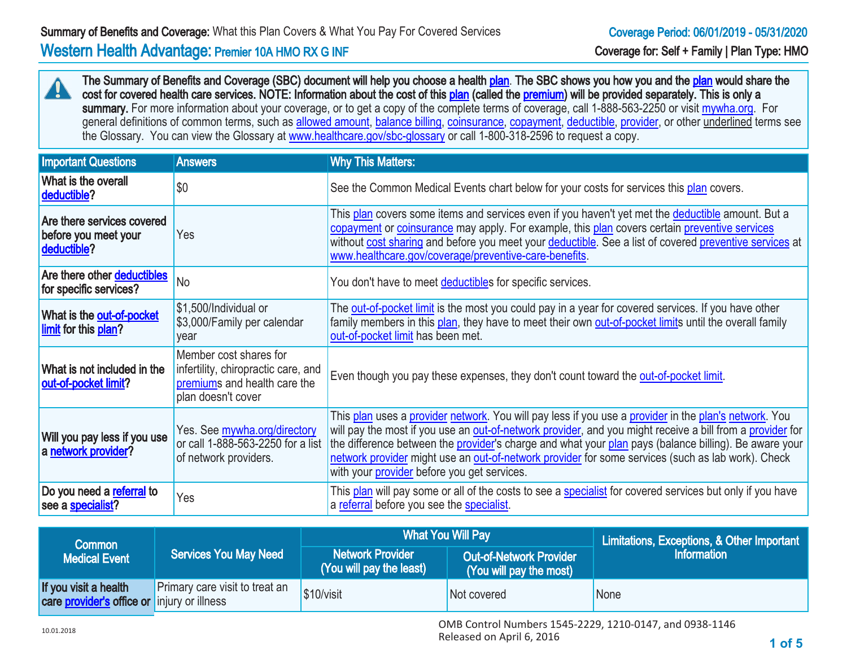The Summary of Benefits and Coverage (SBC) document will help you choose a health [plan](http://www.healthcare.gov/sbc-glossary/#plan). The SBC shows you how you and the plan would share the cost for covered health care services. NOTE: Information about the cost of this [plan](http://www.healthcare.gov/sbc-glossary/#plan) (called the [premium](http://www.healthcare.gov/sbc-glossary/#premium)) will be provided separately. This is only a summary. For more information about your coverage, or to get a copy of the complete terms of coverage, call 1-888-563-2250 or visit [mywha.org](http:// mywha.org). For general definitions of common terms, such as [allowed amount,](http://www.healthcare.gov/sbc-glossary/#allowed-amount) [balance billing,](http://www.healthcare.gov/sbc-glossary/#balance-billing) [coinsurance](http://www.healthcare.gov/sbc-glossary/#coinsurance), [copayment,](http://www.healthcare.gov/sbc-glossary/#copayment) [deductible,](http://www.healthcare.gov/sbc-glossary/#deductible) [provider,](http://www.healthcare.gov/sbc-glossary/#provider) or other underlined terms see the Glossary. You can view the Glossary at [www.healthcare.gov/sbc-glossary](http://www.healthcare.gov/sbc-glossary) or call 1-800-318-2596 to request a copy.

| <b>Important Questions</b>                                        | <b>Answers</b>                                                                                                      | <b>Why This Matters:</b>                                                                                                                                                                                                                                                                                                                                                                                                                                                        |
|-------------------------------------------------------------------|---------------------------------------------------------------------------------------------------------------------|---------------------------------------------------------------------------------------------------------------------------------------------------------------------------------------------------------------------------------------------------------------------------------------------------------------------------------------------------------------------------------------------------------------------------------------------------------------------------------|
| What is the overall<br>deductible?                                | \$0                                                                                                                 | See the Common Medical Events chart below for your costs for services this plan covers.                                                                                                                                                                                                                                                                                                                                                                                         |
| Are there services covered<br>before you meet your<br>deductible? | Yes                                                                                                                 | This plan covers some items and services even if you haven't yet met the deductible amount. But a<br>copayment or coinsurance may apply. For example, this plan covers certain preventive services<br>without cost sharing and before you meet your deductible. See a list of covered preventive services at<br>www.healthcare.gov/coverage/preventive-care-benefits.                                                                                                           |
| Are there other deductibles<br>for specific services?             | <b>No</b>                                                                                                           | You don't have to meet deductibles for specific services.                                                                                                                                                                                                                                                                                                                                                                                                                       |
| What is the out-of-pocket<br>limit for this plan?                 | \$1,500/Individual or<br>\$3,000/Family per calendar<br>vear                                                        | The out-of-pocket limit is the most you could pay in a year for covered services. If you have other<br>family members in this plan, they have to meet their own out-of-pocket limits until the overall family<br>out-of-pocket limit has been met.                                                                                                                                                                                                                              |
| What is not included in the<br>out-of-pocket limit?               | Member cost shares for<br>infertility, chiropractic care, and<br>premiums and health care the<br>plan doesn't cover | Even though you pay these expenses, they don't count toward the out-of-pocket limit.                                                                                                                                                                                                                                                                                                                                                                                            |
| Will you pay less if you use<br>a network provider?               | Yes. See mywha.org/directory<br>or call 1-888-563-2250 for a list<br>of network providers.                          | This plan uses a provider network. You will pay less if you use a provider in the plan's network. You<br>will pay the most if you use an out-of-network provider, and you might receive a bill from a provider for<br>the difference between the provider's charge and what your plan pays (balance billing). Be aware your<br>network provider might use an out-of-network provider for some services (such as lab work). Check<br>with your provider before you get services. |
| Do you need a referral to<br>see a specialist?                    | Yes                                                                                                                 | This plan will pay some or all of the costs to see a specialist for covered services but only if you have<br>a referral before you see the specialist.                                                                                                                                                                                                                                                                                                                          |

| Common<br><b>Medical Event</b>                                              | <b>Services You May Need</b>   | <b>What You Will Pay</b>                            |                                                           | Limitations, Exceptions, & Other Important<br><b>Information</b> |
|-----------------------------------------------------------------------------|--------------------------------|-----------------------------------------------------|-----------------------------------------------------------|------------------------------------------------------------------|
|                                                                             |                                | <b>Network Provider</b><br>(You will pay the least) | <b>Out-of-Network Provider</b><br>(You will pay the most) |                                                                  |
| If you visit a health<br>care <b>provider's office or</b> injury or illness | Primary care visit to treat an | \$10/vist                                           | Not covered                                               | None                                                             |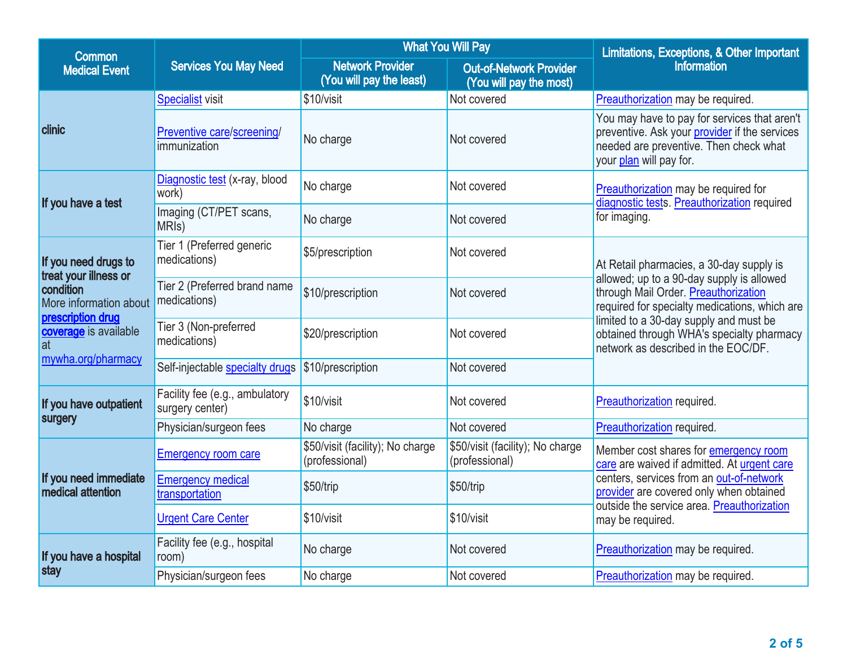| <b>Common</b>                                                                                                                                                  | <b>Services You May Need</b>                      |                                                     | <b>What You Will Pay</b>                                  | Limitations, Exceptions, & Other Important                                                                                                                                                                                                                                                                   |  |
|----------------------------------------------------------------------------------------------------------------------------------------------------------------|---------------------------------------------------|-----------------------------------------------------|-----------------------------------------------------------|--------------------------------------------------------------------------------------------------------------------------------------------------------------------------------------------------------------------------------------------------------------------------------------------------------------|--|
| <b>Medical Event</b>                                                                                                                                           |                                                   | <b>Network Provider</b><br>(You will pay the least) | <b>Out-of-Network Provider</b><br>(You will pay the most) | <b>Information</b>                                                                                                                                                                                                                                                                                           |  |
| <b>clinic</b>                                                                                                                                                  | <b>Specialist visit</b>                           | \$10/visit                                          | Not covered                                               | Preauthorization may be required.                                                                                                                                                                                                                                                                            |  |
|                                                                                                                                                                | Preventive care/screening/<br>immunization        | No charge                                           | Not covered                                               | You may have to pay for services that aren't<br>preventive. Ask your <b>provider</b> if the services<br>needed are preventive. Then check what<br>your plan will pay for.                                                                                                                                    |  |
| If you have a test                                                                                                                                             | Diagnostic test (x-ray, blood<br>work)            | No charge                                           | Not covered                                               | Preauthorization may be required for<br>diagnostic tests. Preauthorization required                                                                                                                                                                                                                          |  |
|                                                                                                                                                                | Imaging (CT/PET scans,<br>MRI <sub>s</sub> )      | No charge                                           | Not covered                                               | for imaging.                                                                                                                                                                                                                                                                                                 |  |
| If you need drugs to<br>treat your illness or<br>condition<br>More information about<br>prescription drug<br>coverage is available<br>at<br>mywha.org/pharmacy | Tier 1 (Preferred generic<br>medications)         | \$5/prescription                                    | Not covered                                               | At Retail pharmacies, a 30-day supply is<br>allowed; up to a 90-day supply is allowed<br>through Mail Order. Preauthorization<br>required for specialty medications, which are<br>limited to a 30-day supply and must be<br>obtained through WHA's specialty pharmacy<br>network as described in the EOC/DF. |  |
|                                                                                                                                                                | Tier 2 (Preferred brand name<br>medications)      | \$10/prescription                                   | Not covered                                               |                                                                                                                                                                                                                                                                                                              |  |
|                                                                                                                                                                | Tier 3 (Non-preferred<br>medications)             | \$20/prescription                                   | Not covered                                               |                                                                                                                                                                                                                                                                                                              |  |
|                                                                                                                                                                | Self-injectable specialty drugs                   | \$10/prescription                                   | Not covered                                               |                                                                                                                                                                                                                                                                                                              |  |
| If you have outpatient<br>surgery                                                                                                                              | Facility fee (e.g., ambulatory<br>surgery center) | \$10/visit                                          | Not covered                                               | Preauthorization required.                                                                                                                                                                                                                                                                                   |  |
|                                                                                                                                                                | Physician/surgeon fees                            | No charge                                           | Not covered                                               | Preauthorization required.                                                                                                                                                                                                                                                                                   |  |
| If you need immediate<br>medical attention                                                                                                                     | <b>Emergency room care</b>                        | \$50/visit (facility); No charge<br>(professional)  | \$50/visit (facility); No charge<br>(professional)        | Member cost shares for emergency room<br>care are waived if admitted. At urgent care<br>centers, services from an out-of-network<br>provider are covered only when obtained<br>outside the service area. Preauthorization<br>may be required.                                                                |  |
|                                                                                                                                                                | <b>Emergency medical</b><br>transportation        | \$50/trip                                           | \$50/trip                                                 |                                                                                                                                                                                                                                                                                                              |  |
|                                                                                                                                                                | <b>Urgent Care Center</b>                         | \$10/visit                                          | \$10/visit                                                |                                                                                                                                                                                                                                                                                                              |  |
| If you have a hospital<br>stay                                                                                                                                 | Facility fee (e.g., hospital<br>room)             | No charge                                           | Not covered                                               | Preauthorization may be required.                                                                                                                                                                                                                                                                            |  |
|                                                                                                                                                                | Physician/surgeon fees                            | No charge                                           | Not covered                                               | Preauthorization may be required.                                                                                                                                                                                                                                                                            |  |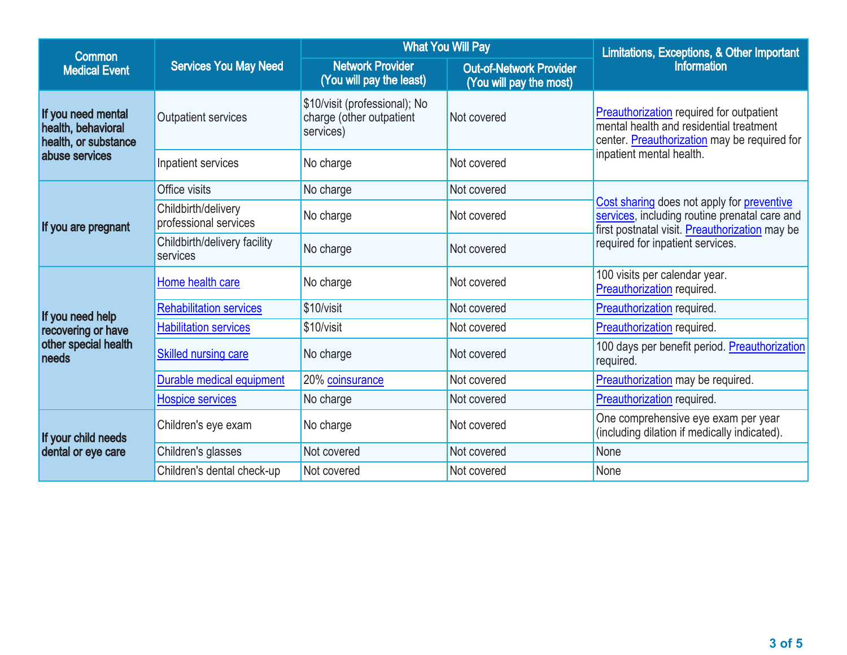| Common                                                                             | <b>Services You May Need</b>                 |                                                                        | <b>What You Will Pay</b>                                  | Limitations, Exceptions, & Other Important                                                                                                    |  |
|------------------------------------------------------------------------------------|----------------------------------------------|------------------------------------------------------------------------|-----------------------------------------------------------|-----------------------------------------------------------------------------------------------------------------------------------------------|--|
| <b>Medical Event</b>                                                               |                                              | <b>Network Provider</b><br>(You will pay the least)                    | <b>Out-of-Network Provider</b><br>(You will pay the most) | <b>Information</b>                                                                                                                            |  |
| If you need mental<br>health, behavioral<br>health, or substance<br>abuse services | Outpatient services                          | \$10/visit (professional); No<br>charge (other outpatient<br>services) | Not covered                                               | Preauthorization required for outpatient<br>mental health and residential treatment<br>center. Preauthorization may be required for           |  |
|                                                                                    | Inpatient services                           | No charge                                                              | Not covered                                               | inpatient mental health.                                                                                                                      |  |
| If you are pregnant                                                                | Office visits                                | No charge                                                              | Not covered                                               |                                                                                                                                               |  |
|                                                                                    | Childbirth/delivery<br>professional services | No charge                                                              | Not covered                                               | Cost sharing does not apply for preventive<br>services, including routine prenatal care and<br>first postnatal visit. Preauthorization may be |  |
|                                                                                    | Childbirth/delivery facility<br>services     | No charge                                                              | Not covered                                               | required for inpatient services.                                                                                                              |  |
|                                                                                    | Home health care                             | No charge                                                              | Not covered                                               | 100 visits per calendar year.<br>Preauthorization required.                                                                                   |  |
| If you need help                                                                   | <b>Rehabilitation services</b>               | \$10/visit                                                             | Not covered                                               | Preauthorization required.                                                                                                                    |  |
| recovering or have                                                                 | <b>Habilitation services</b>                 | \$10/visit                                                             | Not covered                                               | Preauthorization required.                                                                                                                    |  |
| other special health<br>needs                                                      | Skilled nursing care                         | No charge                                                              | Not covered                                               | 100 days per benefit period. Preauthorization<br>required.                                                                                    |  |
|                                                                                    | Durable medical equipment                    | 20% coinsurance                                                        | Not covered                                               | Preauthorization may be required.                                                                                                             |  |
|                                                                                    | <b>Hospice services</b>                      | No charge                                                              | Not covered                                               | Preauthorization required.                                                                                                                    |  |
| If your child needs<br>dental or eye care                                          | Children's eye exam                          | No charge                                                              | Not covered                                               | One comprehensive eye exam per year<br>(including dilation if medically indicated).                                                           |  |
|                                                                                    | Children's glasses                           | Not covered                                                            | Not covered                                               | None                                                                                                                                          |  |
|                                                                                    | Children's dental check-up                   | Not covered                                                            | Not covered                                               | None                                                                                                                                          |  |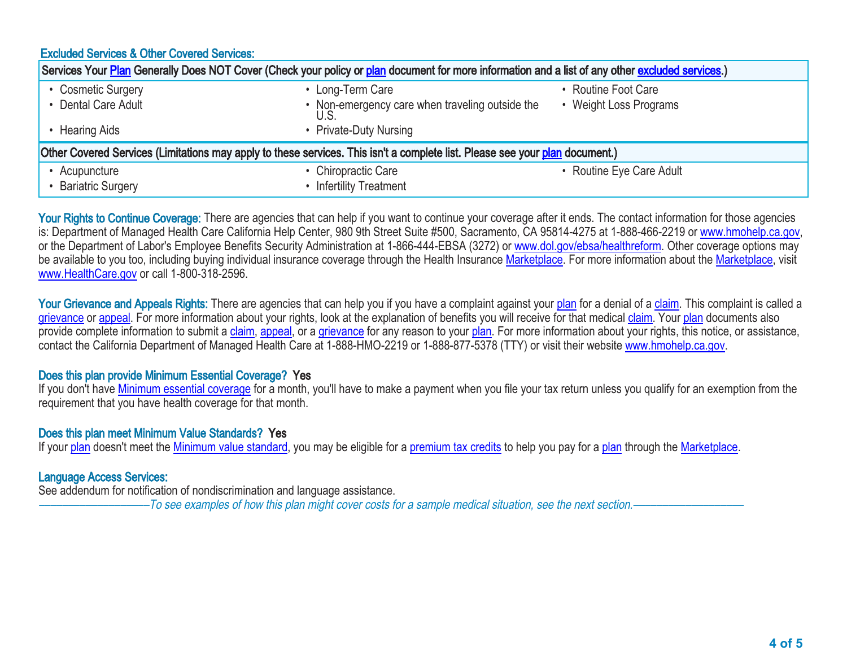| <b>Excluded Services &amp; Other Covered Services:</b>                                                                                           |                                                 |                          |  |  |  |
|--------------------------------------------------------------------------------------------------------------------------------------------------|-------------------------------------------------|--------------------------|--|--|--|
| Services Your Plan Generally Does NOT Cover (Check your policy or plan document for more information and a list of any other excluded services.) |                                                 |                          |  |  |  |
| • Cosmetic Surgery                                                                                                                               | • Long-Term Care                                | • Routine Foot Care      |  |  |  |
| • Dental Care Adult                                                                                                                              | • Non-emergency care when traveling outside the | • Weight Loss Programs   |  |  |  |
| <b>Hearing Aids</b>                                                                                                                              | • Private-Duty Nursing                          |                          |  |  |  |
| Other Covered Services (Limitations may apply to these services. This isn't a complete list. Please see your plan document.)                     |                                                 |                          |  |  |  |
| • Acupuncture                                                                                                                                    | • Chiropractic Care                             | • Routine Eye Care Adult |  |  |  |
| • Bariatric Surgery                                                                                                                              | <b>Infertility Treatment</b>                    |                          |  |  |  |

Your Rights to Continue Coverage: There are agencies that can help if you want to continue your coverage after it ends. The contact information for those agencies is: Department of Managed Health Care California Help Center, 980 9th Street Suite #500, Sacramento, CA 95814-4275 at 1-888-466-2219 or [www.hmohelp.ca.gov](http://www.hmohelp.ca.gov), or the Department of Labor's Employee Benefits Security Administration at 1-866-444-EBSA (3272) or [www.dol.gov/ebsa/healthreform](http://www.dol.gov/ebsa/healthreform). Other coverage options may be available to you too, including buying individual insurance coverage through the Health Insurance [Marketplace](http://www.healthcare.gov/sbc-glossary/#marketplace). For more information about the [Marketplace,](http://www.healthcare.gov/sbc-glossary/#marketplace) visit [www.HealthCare.gov](http://www.HealthCare.gov) or call 1-800-318-2596.

Your Grievance and Appeals Rights: There are agencies that can help you if you have a complaint against your [plan](http://www.healthcare.gov/sbc-glossary/#plan) for a denial of a [claim](http://www.healthcare.gov/sbc-glossary/#claim). This complaint is called a [grievance](http://www.healthcare.gov/sbc-glossary/#grievance) or [appeal.](http://www.healthcare.gov/sbc-glossary/#appeal) For more information about your rights, look at the explanation of benefits you will receive for that medical [claim](http://www.healthcare.gov/sbc-glossary/#claim). Your [plan](http://www.healthcare.gov/sbc-glossary/#plan) documents also provide complete information to submit a [claim](http://www.healthcare.gov/sbc-glossary/#claim), [appeal,](http://www.healthcare.gov/sbc-glossary/#appeal) or a [grievance](http://www.healthcare.gov/sbc-glossary/#grievance) for any reason to your [plan.](http://www.healthcare.gov/sbc-glossary/#plan) For more information about your rights, this notice, or assistance, contact the California Department of Managed Health Care at 1-888-HMO-2219 or 1-888-877-5378 (TTY) or visit their website [www.hmohelp.ca.gov.](http://www.hmohelp.ca.gov)

# Does this plan provide Minimum Essential Coverage? Yes

If you don't have [Minimum essential coverage](http://www.healthcare.gov/sbc-glossary/#minimum-essential-coverage) for a month, you'll have to make a payment when you file your tax return unless you qualify for an exemption from the requirement that you have health coverage for that month.

# Does this plan meet Minimum Value Standards? Yes

If your [plan](http://www.healthcare.gov/sbc-glossary/#plan) doesn't meet the [Minimum value standard,](http://www.healthcare.gov/sbc-glossary/#minimum-value-standard) you may be eligible for a [premium tax credits](http://www.healthcare.gov/sbc-glossary/#premium-tax-credits) to help you pay for a plan through the [Marketplace.](http://www.healthcare.gov/sbc-glossary/#marketplace)

# Language Access Services:

See addendum for notification of nondiscrimination and language assistance.

–To see examples of how this plan might cover costs for a sample medical situation, see the next section.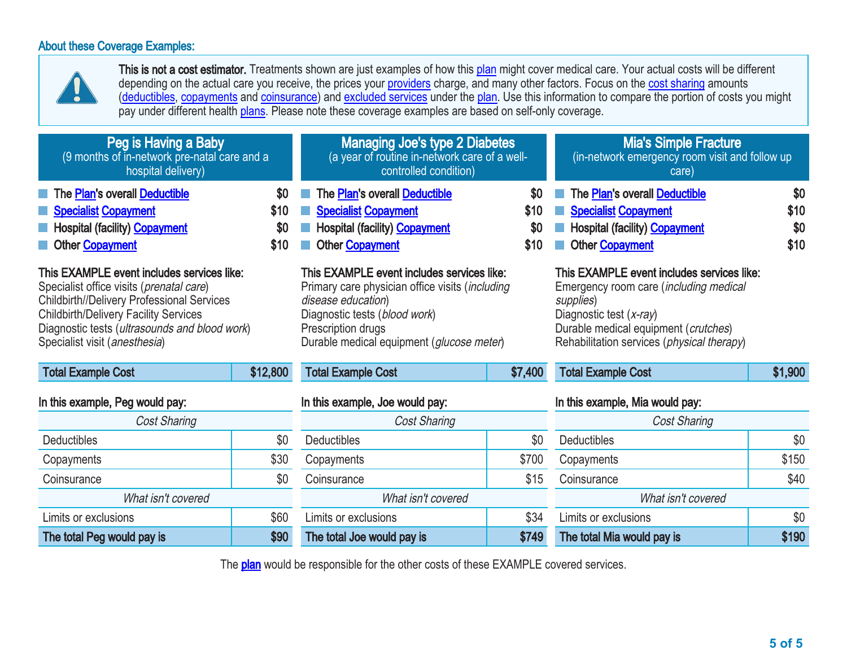# About these Coverage Examples:

The total Peg would pay is \$90



This is not a cost estimator. Treatments shown are just examples of how this [plan](http://www.healthcare.gov/sbc-glossary/#plan) might cover medical care. Your actual costs will be different depending on the actual care you receive, the prices your [providers](http://www.healthcare.gov/sbc-glossary/#provider) charge, and many other factors. Focus on the [cost sharing](http://www.healthcare.gov/sbc-glossary/#cost-sharing) amounts [\(deductibles,](http://www.healthcare.gov/sbc-glossary/#deductible) [copayments](http://www.healthcare.gov/sbc-glossary/#copayment) and [coinsurance\)](http://www.healthcare.gov/sbc-glossary/#coinsurance) and [excluded services](http://www.healthcare.gov/sbc-glossary/#excluded-services) under the [plan.](http://www.healthcare.gov/sbc-glossary/#plan) Use this information to compare the portion of costs you might pay under different health [plans](http://www.healthcare.gov/sbc-glossary/#plan). Please note these coverage examples are based on self-only coverage.

| Peg is Having a Baby<br>(9 months of in-network pre-natal care and a<br>hospital delivery)                                                                                                                                                                             |                            | <b>Managing Joe's type 2 Diabetes</b><br>(a year of routine in-network care of a well-<br>controlled condition)                                                                                                         |                            | <b>Mia's Simple Fracture</b><br>(in-network emergency room visit and follow up<br>care)                                                                                                                                       |                            |
|------------------------------------------------------------------------------------------------------------------------------------------------------------------------------------------------------------------------------------------------------------------------|----------------------------|-------------------------------------------------------------------------------------------------------------------------------------------------------------------------------------------------------------------------|----------------------------|-------------------------------------------------------------------------------------------------------------------------------------------------------------------------------------------------------------------------------|----------------------------|
| The Plan's overall Deductible<br><b>Specialist Copayment</b><br><b>Hospital (facility) Copayment</b><br>Other Copayment                                                                                                                                                | \$0<br>\$10<br>\$0<br>\$10 | The Plan's overall Deductible<br><b>Specialist Copayment</b><br><b>Hospital (facility) Copayment</b><br>Other Copayment                                                                                                 | \$0<br>\$10<br>\$0<br>\$10 | The Plan's overall Deductible<br><b>Specialist Copayment</b><br><b>Hospital (facility) Copayment</b><br>Other Copayment                                                                                                       | \$0<br>\$10<br>\$0<br>\$10 |
| This EXAMPLE event includes services like:<br>Specialist office visits (prenatal care)<br>Childbirth//Delivery Professional Services<br><b>Childbirth/Delivery Facility Services</b><br>Diagnostic tests (ultrasounds and blood work)<br>Specialist visit (anesthesia) |                            | This EXAMPLE event includes services like:<br>Primary care physician office visits (including<br>disease education)<br>Diagnostic tests (blood work)<br>Prescription drugs<br>Durable medical equipment (glucose meter) |                            | This EXAMPLE event includes services like:<br>Emergency room care (including medical<br>supplies)<br>Diagnostic test $(x-ray)$<br>Durable medical equipment (crutches)<br>Rehabilitation services ( <i>physical therapy</i> ) |                            |
| <b>Total Example Cost</b>                                                                                                                                                                                                                                              | \$12,800                   | <b>Total Example Cost</b>                                                                                                                                                                                               | \$7,400                    | <b>Total Example Cost</b>                                                                                                                                                                                                     | \$1,900                    |
| In this example, Peg would pay:                                                                                                                                                                                                                                        |                            | In this example, Joe would pay:                                                                                                                                                                                         |                            | In this example, Mia would pay:                                                                                                                                                                                               |                            |
| <b>Cost Sharing</b>                                                                                                                                                                                                                                                    |                            | Cost Sharing                                                                                                                                                                                                            |                            | Cost Sharing                                                                                                                                                                                                                  |                            |
| <b>Deductibles</b>                                                                                                                                                                                                                                                     | \$0                        | <b>Deductibles</b>                                                                                                                                                                                                      | \$0                        | <b>Deductibles</b>                                                                                                                                                                                                            | \$0                        |
| Copayments                                                                                                                                                                                                                                                             | \$30                       | Copayments                                                                                                                                                                                                              | \$700                      | Copayments                                                                                                                                                                                                                    | \$150                      |
| Coinsurance                                                                                                                                                                                                                                                            | \$0                        | Coinsurance                                                                                                                                                                                                             | \$15                       | Coinsurance                                                                                                                                                                                                                   | \$40                       |
| What isn't covered                                                                                                                                                                                                                                                     |                            | What isn't covered                                                                                                                                                                                                      |                            | What isn't covered                                                                                                                                                                                                            |                            |
| Limits or exclusions                                                                                                                                                                                                                                                   | \$60                       | Limits or exclusions                                                                                                                                                                                                    | \$34                       | Limits or exclusions                                                                                                                                                                                                          | \$0                        |

The **[plan](http://www.healthcare.gov/sbc-glossary/#plan)** would be responsible for the other costs of these EXAMPLE covered services.

The total Joe would pay is **\$749** 

The total Mia would pay is **\$190**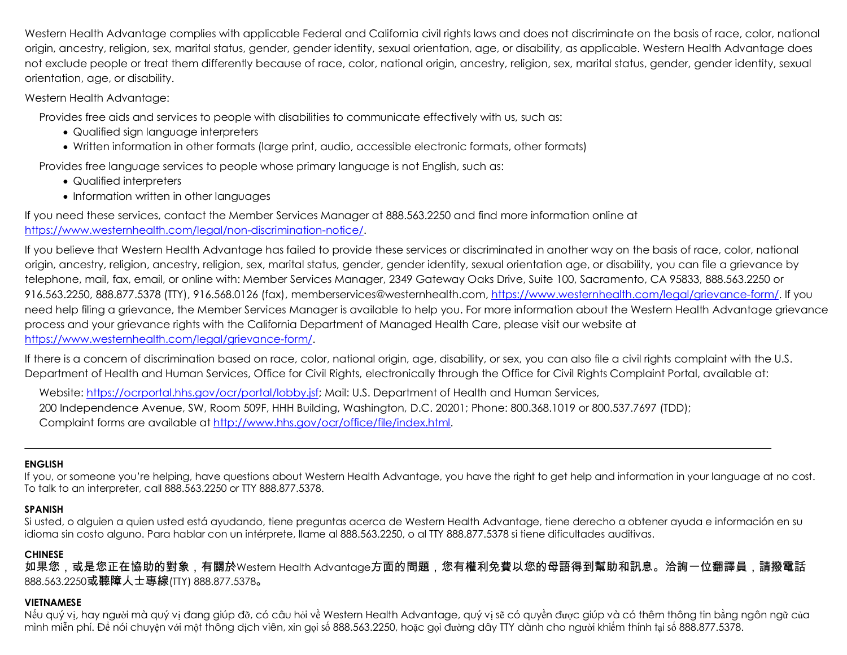Western Health Advantage complies with applicable Federal and California civil rights laws and does not discriminate on the basis of race, color, national origin, ancestry, religion, sex, marital status, gender, gender identity, sexual orientation, age, or disability, as applicable. Western Health Advantage does not exclude people or treat them differently because of race, color, national origin, ancestry, religion, sex, marital status, gender, gender identity, sexual orientation, age, or disability.

Western Health Advantage:

Provides free aids and services to people with disabilities to communicate effectively with us, such as:

- Qualified sign language interpreters
- Written information in other formats (large print, audio, accessible electronic formats, other formats)

Provides free language services to people whose primary language is not English, such as:

- Qualified interpreters
- Information written in other languages

If you need these services, contact the Member Services Manager at 888.563.2250 and find more information online at https://www.westernhealth.com/legal/non-discrimination-notice/.

If you believe that Western Health Advantage has failed to provide these services or discriminated in another way on the basis of race, color, national origin, ancestry, religion, ancestry, religion, sex, marital status, gender, gender identity, sexual orientation age, or disability, you can file a grievance by telephone, mail, fax, email, or online with: Member Services Manager, 2349 Gateway Oaks Drive, Suite 100, Sacramento, CA 95833, 888.563.2250 or 916.563.2250, 888.877.5378 (TTY), 916.568.0126 (fax), memberservices@westernhealth.com, https://www.westernhealth.com/legal/grievance-form/. If you need help filing a grievance, the Member Services Manager is available to help you. For more information about the Western Health Advantage grievance process and your grievance rights with the California Department of Managed Health Care, please visit our website at https://www.westernhealth.com/legal/grievance-form/.

If there is a concern of discrimination based on race, color, national origin, age, disability, or sex, you can also file a civil rights complaint with the U.S. Department of Health and Human Services, Office for Civil Rights, electronically through the Office for Civil Rights Complaint Portal, available at:

Website: https://ocrportal.hhs.gov/ocr/portal/lobby.jsf; Mail: U.S. Department of Health and Human Services, 200 Independence Avenue, SW, Room 509F, HHH Building, Washington, D.C. 20201; Phone: 800.368.1019 or 800.537.7697 (TDD); Complaint forms are available at http://www.hhs.gov/ocr/office/file/index.html.

# **ENGLISH**

If you, or someone you're helping, have questions about Western Health Advantage, you have the right to get help and information in your language at no cost. To talk to an interpreter, call 888.563.2250 or TTY 888.877.5378.

## **SPANISH**

Si usted, o alguien a quien usted está ayudando, tiene preguntas acerca de Western Health Advantage, tiene derecho a obtener ayuda e información en su idioma sin costo alguno. Para hablar con un intérprete, llame al 888.563.2250, o al TTY 888.877.5378 si tiene dificultades auditivas.

# **CHINESE**

如果您,或是您正在協助的對象,有關於Western Health Advantage方面的問題,您有權利免費以您的母語得到幫助和訊息。洽詢一位翻譯員,請撥電話 888.563.2250或聽障人士專線(TTY) 888.877.5378。

## **VIETNAMESE**

Nếu quý vị, hay người mà quý vị đang giúp đỡ, có câu hỏi về Western Health Advantage, quý vị sẽ có quyền được giúp và có thêm thông tin bằng ngôn ngữ của mình miễn phí. Để nói chuyện với một thông dịch viên, xin gọi số 888.563.2250, hoặc gọi đường dây TTY dành cho người khiếm thính tại số 888.877.5378.